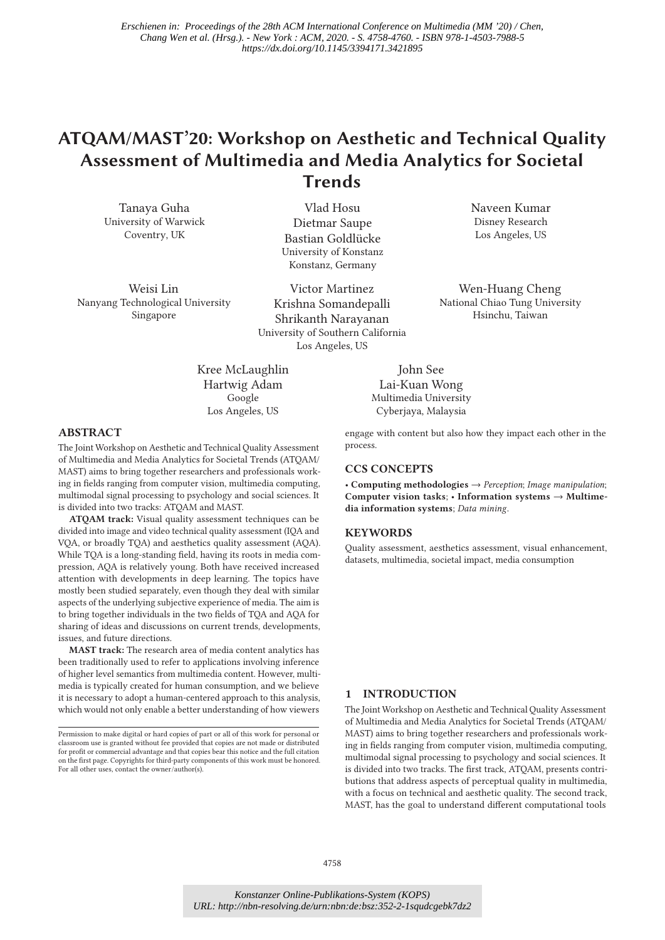# **ATQAM/MAST'20: Workshop on Aesthetic and Technical Quality Assessment of Multimedia and Media Analytics for Societal Trends**

Tanaya Guha University of Warwick Coventry, UK

Weisi Lin Nanyang Technological University Singapore

Vlad Hosu Dietmar Saupe Bastian Goldlücke University of Konstanz Konstanz, Germany

Victor Martinez Krishna Somandepalli Shrikanth Narayanan University of Southern California Los Angeles, US

Kree McLaughlin Hartwig Adam Google Los Angeles, US

Naveen Kumar Disney Research Los Angeles, US

Wen-Huang Cheng National Chiao Tung University Hsinchu, Taiwan

# **ABSTRACT**

The Joint Workshop on Aesthetic and Technical Quality Assessment of Multimedia and Media Analytics for Societal Trends (ATQAM/ MAST) aims to bring together researchers and professionals working in fields ranging from computer vision, multimedia computing, multimodal signal processing to psychology and social sciences. It is divided into two tracks: ATQAM and MAST.

**ATQAM track:** Visual quality assessment techniques can be divided into image and video technical quality assessment (IQA and VQA, or broadly TQA) and aesthetics quality assessment (AQA). While TQA is a long-standing field, having its roots in media compression, AQA is relatively young. Both have received increased attention with developments in deep learning. The topics have mostly been studied separately, even though they deal with similar aspects of the underlying subjective experience of media. The aim is to bring together individuals in the two fields of TQA and AQA for sharing of ideas and discussions on current trends, developments, issues, and future directions.

**MAST track:** The research area of media content analytics has been traditionally used to refer to applications involving inference of higher level semantics from multimedia content. However, multimedia is typically created for human consumption, and we believe it is necessary to adopt a human-centered approach to this analysis, which would not only enable a better understanding of how viewers

John See Lai-Kuan Wong Multimedia University Cyberjaya, Malaysia

engage with content but also how they impact each other in the process.

#### **CCS CONCEPTS**

• **Computing methodologies** → *Perception*; *Image manipulation*; **Computer vision tasks**; • **Information systems** → **Multimedia information systems**; *Data mining*.

## **KEYWORDS**

Quality assessment, aesthetics assessment, visual enhancement, datasets, multimedia, societal impact, media consumption

# **1 INTRODUCTION**

The Joint Workshop on Aesthetic and Technical Quality Assessment of Multimedia and Media Analytics for Societal Trends (ATQAM/ MAST) aims to bring together researchers and professionals working in fields ranging from computer vision, multimedia computing, multimodal signal processing to psychology and social sciences. It is divided into two tracks. The first track, ATQAM, presents contributions that address aspects of perceptual quality in multimedia, with a focus on technical and aesthetic quality. The second track, MAST, has the goal to understand different computational tools

Permission to make digital or hard copies of part or all of this work for personal or classroom use is granted without fee provided that copies are not made or distributed for profit or commercial advantage and that copies bear this notice and the full citation on the first page. Copyrights for third-party components of this work must be honored. For all other uses, contact the owner/author(s).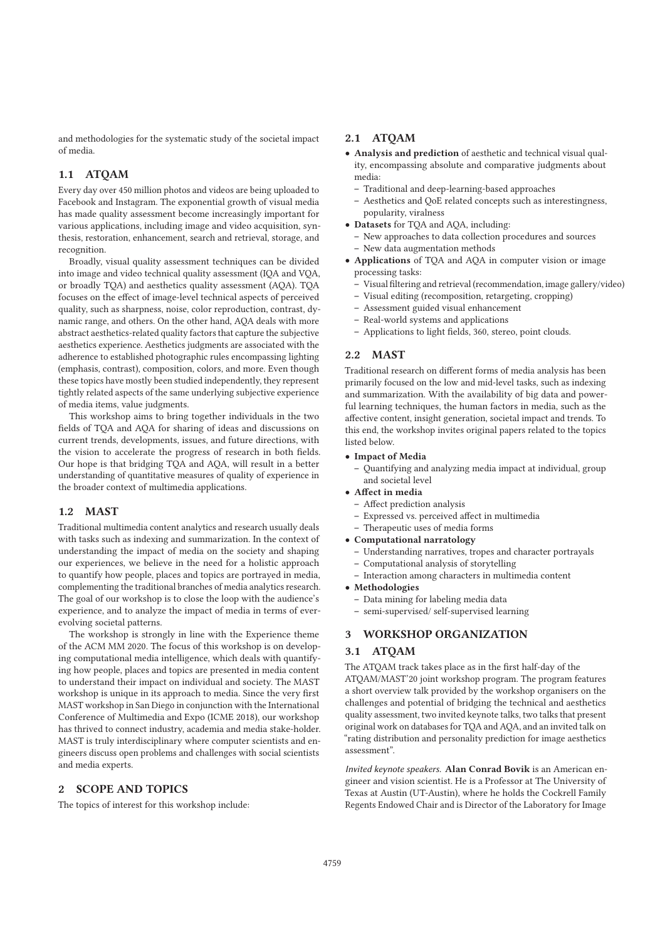and methodologies for the systematic study of the societal impact of media.

# **1.1 ATQAM**

Every day over 450 million photos and videos are being uploaded to Facebook and Instagram. The exponential growth of visual media has made quality assessment become increasingly important for various applications, including image and video acquisition, synthesis, restoration, enhancement, search and retrieval, storage, and recognition.

Broadly, visual quality assessment techniques can be divided into image and video technical quality assessment (IQA and VQA, or broadly TQA) and aesthetics quality assessment (AQA). TQA focuses on the effect of image-level technical aspects of perceived quality, such as sharpness, noise, color reproduction, contrast, dynamic range, and others. On the other hand, AQA deals with more abstract aesthetics-related quality factors that capture the subjective aesthetics experience. Aesthetics judgments are associated with the adherence to established photographic rules encompassing lighting (emphasis, contrast), composition, colors, and more. Even though these topics have mostly been studied independently, they represent tightly related aspects of the same underlying subjective experience of media items, value judgments.

This workshop aims to bring together individuals in the two fields of TQA and AQA for sharing of ideas and discussions on current trends, developments, issues, and future directions, with the vision to accelerate the progress of research in both fields. Our hope is that bridging TQA and AQA, will result in a better understanding of quantitative measures of quality of experience in the broader context of multimedia applications.

# **1.2 MAST**

Traditional multimedia content analytics and research usually deals with tasks such as indexing and summarization. In the context of understanding the impact of media on the society and shaping our experiences, we believe in the need for a holistic approach to quantify how people, places and topics are portrayed in media, complementing the traditional branches of media analytics research. The goal of our workshop is to close the loop with the audience's experience, and to analyze the impact of media in terms of everevolving societal patterns.

The workshop is strongly in line with the Experience theme of the ACM MM 2020. The focus of this workshop is on developing computational media intelligence, which deals with quantifying how people, places and topics are presented in media content to understand their impact on individual and society. The MAST workshop is unique in its approach to media. Since the very first MAST workshop in San Diego in conjunction with the International Conference of Multimedia and Expo (ICME 2018), our workshop has thrived to connect industry, academia and media stake-holder. MAST is truly interdisciplinary where computer scientists and engineers discuss open problems and challenges with social scientists and media experts.

## **2 SCOPE AND TOPICS**

The topics of interest for this workshop include:

# **2.1 ATQAM**

- **Analysis and prediction** of aesthetic and technical visual quality, encompassing absolute and comparative judgments about media:
	- **–** Traditional and deep-learning-based approaches
	- **–** Aesthetics and QoE related concepts such as interestingness, popularity, viralness
- **Datasets** for TQA and AQA, including:
	- **–** New approaches to data collection procedures and sources
	- **–** New data augmentation methods
- **Applications** of TQA and AQA in computer vision or image processing tasks:
	- **–** Visual filtering and retrieval (recommendation, image gallery/video)
	- **–** Visual editing (recomposition, retargeting, cropping)
	- **–** Assessment guided visual enhancement
	- **–** Real-world systems and applications
	- **–** Applications to light fields, 360, stereo, point clouds.

#### **2.2 MAST**

Traditional research on different forms of media analysis has been primarily focused on the low and mid-level tasks, such as indexing and summarization. With the availability of big data and powerful learning techniques, the human factors in media, such as the affective content, insight generation, societal impact and trends. To this end, the workshop invites original papers related to the topics listed below.

# • **Impact of Media**

- **–** Quantifying and analyzing media impact at individual, group and societal level
- **Affect in media**
	- **–** Affect prediction analysis
	- **–** Expressed vs. perceived affect in multimedia
	- **–** Therapeutic uses of media forms
- **Computational narratology**
	- **–** Understanding narratives, tropes and character portrayals
	- **–** Computational analysis of storytelling
	- **–** Interaction among characters in multimedia content

# • **Methodologies**

- **–** Data mining for labeling media data
- **–** semi-supervised/ self-supervised learning

## **3 WORKSHOP ORGANIZATION**

#### **3.1 ATQAM**

The ATQAM track takes place as in the first half-day of the ATQAM/MAST'20 joint workshop program. The program features a short overview talk provided by the workshop organisers on the challenges and potential of bridging the technical and aesthetics quality assessment, two invited keynote talks, two talks that present original work on databases for TQA and AQA, and an invited talk on "rating distribution and personality prediction for image aesthetics assessment".

Invited keynote speakers. **Alan Conrad Bovik** is an American engineer and vision scientist. He is a Professor at The University of Texas at Austin (UT-Austin), where he holds the Cockrell Family Regents Endowed Chair and is Director of the Laboratory for Image